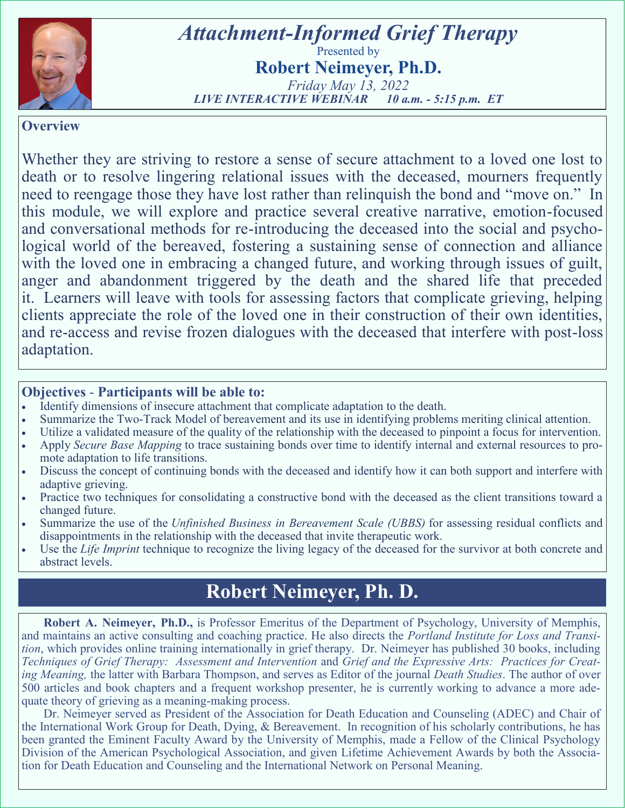

# *Attachment-Informed Grief Therapy*  Presented by **Robert Neimeyer, Ph.D.**

*Friday May 13, 2022 LIVE INTERACTIVE WEBINAR 10 a.m. - 5:15 p.m. ET* 

#### **Overview**

Whether they are striving to restore a sense of secure attachment to a loved one lost to death or to resolve lingering relational issues with the deceased, mourners frequently need to reengage those they have lost rather than relinquish the bond and "move on." In this module, we will explore and practice several creative narrative, emotion-focused and conversational methods for re-introducing the deceased into the social and psychological world of the bereaved, fostering a sustaining sense of connection and alliance with the loved one in embracing a changed future, and working through issues of guilt, anger and abandonment triggered by the death and the shared life that preceded it. Learners will leave with tools for assessing factors that complicate grieving, helping clients appreciate the role of the loved one in their construction of their own identities, and re-access and revise frozen dialogues with the deceased that interfere with post-loss adaptation.

#### **Objectives** - **Participants will be able to:**

- Identify dimensions of insecure attachment that complicate adaptation to the death.
- Summarize the Two-Track Model of bereavement and its use in identifying problems meriting clinical attention.
- Utilize a validated measure of the quality of the relationship with the deceased to pinpoint a focus for intervention.
- Apply *Secure Base Mapping* to trace sustaining bonds over time to identify internal and external resources to promote adaptation to life transitions.
- Discuss the concept of continuing bonds with the deceased and identify how it can both support and interfere with adaptive grieving.
- Practice two techniques for consolidating a constructive bond with the deceased as the client transitions toward a changed future.
- Summarize the use of the *Unfinished Business in Bereavement Scale (UBBS)* for assessing residual conflicts and disappointments in the relationship with the deceased that invite therapeutic work.
- Use the *Life Imprint* technique to recognize the living legacy of the deceased for the survivor at both concrete and abstract levels.

# **Robert Neimeyer, Ph. D.**

**Robert A. Neimeyer, Ph.D.,** is Professor Emeritus of the Department of Psychology, University of Memphis, and maintains an active consulting and coaching practice. He also directs the *Portland Institute for Loss and Transition*, which provides online training internationally in grief therapy. Dr. Neimeyer has published 30 books, including *Techniques of Grief Therapy: Assessment and Intervention* and *Grief and the Expressive Arts: Practices for Creating Meaning,* the latter with Barbara Thompson, and serves as Editor of the journal *Death Studies*. The author of over 500 articles and book chapters and a frequent workshop presenter, he is currently working to advance a more adequate theory of grieving as a meaning-making process.

Dr. Neimeyer served as President of the Association for Death Education and Counseling (ADEC) and Chair of the International Work Group for Death, Dying, & Bereavement. In recognition of his scholarly contributions, he has been granted the Eminent Faculty Award by the University of Memphis, made a Fellow of the Clinical Psychology Division of the American Psychological Association, and given Lifetime Achievement Awards by both the Association for Death Education and Counseling and the International Network on Personal Meaning.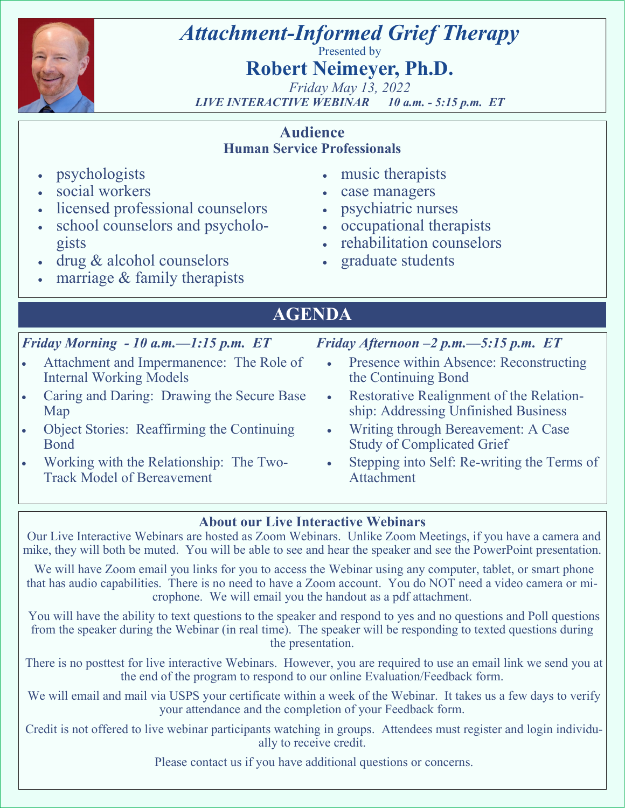

# *Attachment-Informed Grief Therapy*

Presented by

# **Robert Neimeyer, Ph.D.**

*Friday May 13, 2022 LIVE INTERACTIVE WEBINAR 10 a.m. - 5:15 p.m. ET* 

### **Audience Human Service Professionals**

- psychologists
- social workers
- licensed professional counselors
- school counselors and psychologists
- drug & alcohol counselors
- marriage  $&$  family therapists
- music therapists
- case managers
- psychiatric nurses
- occupational therapists
- rehabilitation counselors
- graduate students
- **AGENDA**

## *Friday Morning - 10 a.m.—1:15 p.m. ET*

- Attachment and Impermanence: The Role of Internal Working Models
- Caring and Daring: Drawing the Secure Base Map
- Object Stories: Reaffirming the Continuing Bond
- Working with the Relationship: The Two-Track Model of Bereavement

## *Friday Afternoon –2 p.m.—5:15 p.m. ET*

- Presence within Absence: Reconstructing the Continuing Bond
- Restorative Realignment of the Relationship: Addressing Unfinished Business
- Writing through Bereavement: A Case Study of Complicated Grief
- Stepping into Self: Re-writing the Terms of Attachment

## **About our Live Interactive Webinars**

Our Live Interactive Webinars are hosted as Zoom Webinars. Unlike Zoom Meetings, if you have a camera and mike, they will both be muted. You will be able to see and hear the speaker and see the PowerPoint presentation.

We will have Zoom email you links for you to access the Webinar using any computer, tablet, or smart phone that has audio capabilities. There is no need to have a Zoom account. You do NOT need a video camera or microphone. We will email you the handout as a pdf attachment.

You will have the ability to text questions to the speaker and respond to yes and no questions and Poll questions from the speaker during the Webinar (in real time). The speaker will be responding to texted questions during the presentation.

There is no posttest for live interactive Webinars. However, you are required to use an email link we send you at the end of the program to respond to our online Evaluation/Feedback form.

We will email and mail via USPS your certificate within a week of the Webinar. It takes us a few days to verify your attendance and the completion of your Feedback form.

Credit is not offered to live webinar participants watching in groups. Attendees must register and login individually to receive credit.

Please contact us if you have additional questions or concerns.